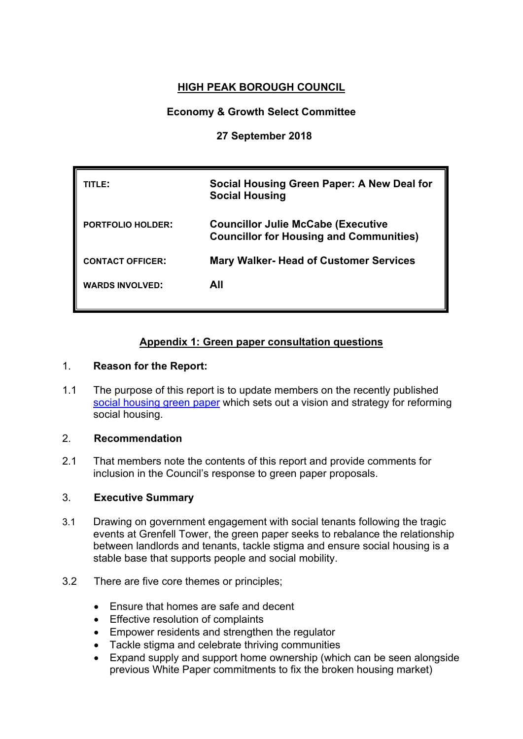# **HIGH PEAK BOROUGH COUNCIL**

## **Economy & Growth Select Committee**

## **27 September 2018**

| TITLE:                   | Social Housing Green Paper: A New Deal for<br><b>Social Housing</b>                         |
|--------------------------|---------------------------------------------------------------------------------------------|
| <b>PORTFOLIO HOLDER:</b> | <b>Councillor Julie McCabe (Executive</b><br><b>Councillor for Housing and Communities)</b> |
| <b>CONTACT OFFICER:</b>  | <b>Mary Walker- Head of Customer Services</b>                                               |
| <b>WARDS INVOLVED:</b>   | All                                                                                         |

### **Appendix 1: Green paper consultation questions**

#### 1. **Reason for the Report:**

1.1 The purpose of this report is to update members on the recently published social [housing](https://www.gov.uk/government/consultations/a-new-deal-for-social-housing) green paper which sets out a vision and strategy for reforming social housing.

## 2. **Recommendation**

2.1 That members note the contents of this report and provide comments for inclusion in the Council's response to green paper proposals.

#### 3. **Executive Summary**

- 3.1 Drawing on government engagement with social tenants following the tragic events at Grenfell Tower, the green paper seeks to rebalance the relationship between landlords and tenants, tackle stigma and ensure social housing is a stable base that supports people and social mobility.
- 3.2 There are five core themes or principles;
	- Ensure that homes are safe and decent
	- **Effective resolution of complaints**
	- Empower residents and strengthen the regulator
	- Tackle stigma and celebrate thriving communities
	- Expand supply and support home ownership (which can be seen alongside previous White Paper commitments to fix the broken housing market)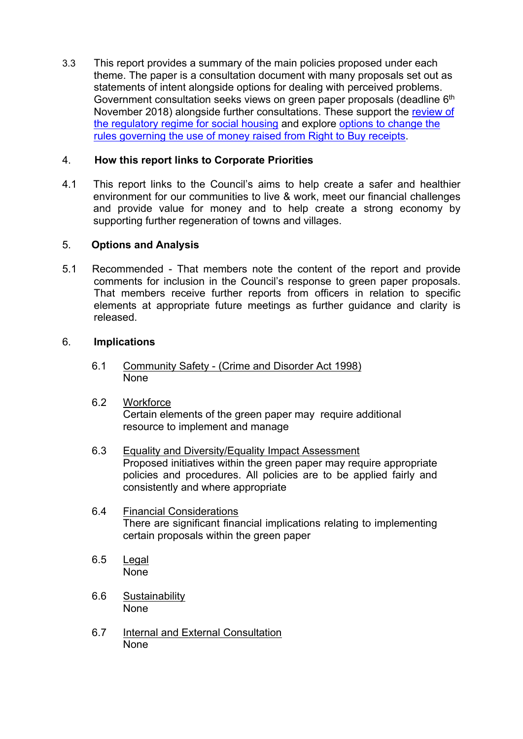3.3 This report provides a summary of the main policies proposed under each theme. The paper is a consultation document with many proposals set out as statements of intent alongside options for dealing with perceived problems. Government consultation seeks views on green paper proposals (deadline 6<sup>th</sup> November 2018) alongside further consultations. These support the [review](https://www.gov.uk/government/consultations/review-of-social-housing-regulation-call-for-evidence) of the [regulatory](https://www.gov.uk/government/consultations/review-of-social-housing-regulation-call-for-evidence) regime for social housing and explore options to [change](https://www.gov.uk/government/consultations/use-of-receipts-from-right-to-buy-sales) the rules [governing](https://www.gov.uk/government/consultations/use-of-receipts-from-right-to-buy-sales) the use of money raised from Right to Buy receipts.

#### 4. **How this report links to Corporate Priorities**

4.1 This report links to the Council's aims to help create a safer and healthier environment for our communities to live & work, meet our financial challenges and provide value for money and to help create a strong economy by supporting further regeneration of towns and villages.

#### 5. **Options and Analysis**

5.1 Recommended - That members note the content of the report and provide comments for inclusion in the Council's response to green paper proposals. That members receive further reports from officers in relation to specific elements at appropriate future meetings as further guidance and clarity is released.

#### 6. **Implications**

- 6.1 Community Safety (Crime and Disorder Act 1998) None
- 6.2 Workforce

Certain elements of the green paper may require additional resource to implement and manage

- 6.3 Equality and Diversity/Equality Impact Assessment Proposed initiatives within the green paper may require appropriate policies and procedures. All policies are to be applied fairly and consistently and where appropriate
- 6.4 Financial Considerations There are significant financial implications relating to implementing certain proposals within the green paper
- 6.5 Legal None
- 6.6 Sustainability None
- 6.7 Internal and External Consultation None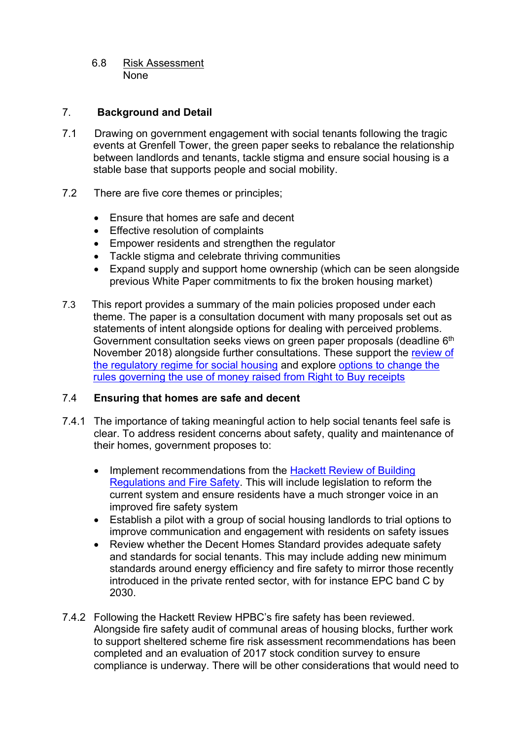6.8 Risk Assessment None

#### 7. **Background and Detail**

- 7.1 Drawing on government engagement with social tenants following the tragic events at Grenfell Tower, the green paper seeks to rebalance the relationship between landlords and tenants, tackle stigma and ensure social housing is a stable base that supports people and social mobility.
- 7.2 There are five core themes or principles;
	- Ensure that homes are safe and decent
	- Effective resolution of complaints
	- Empower residents and strengthen the regulator
	- Tackle stigma and celebrate thriving communities
	- Expand supply and support home ownership (which can be seen alongside previous White Paper commitments to fix the broken housing market)
- 7.3 This report provides a summary of the main policies proposed under each theme. The paper is a consultation document with many proposals set out as statements of intent alongside options for dealing with perceived problems. Government consultation seeks views on green paper proposals (deadline 6<sup>th</sup> November 2018) alongside further consultations. These support the [review](https://www.gov.uk/government/consultations/review-of-social-housing-regulation-call-for-evidence) of the [regulatory](https://www.gov.uk/government/consultations/review-of-social-housing-regulation-call-for-evidence) regime for social housing and explore options to [change](https://www.gov.uk/government/consultations/use-of-receipts-from-right-to-buy-sales) the rules [governing](https://www.gov.uk/government/consultations/use-of-receipts-from-right-to-buy-sales) the use of money raised from Right to Buy receipts

#### 7.4 **Ensuring that homes are safe and decent**

- 7.4.1 The importance of taking meaningful action to help social tenants feel safe is clear. To address resident concerns about safety, quality and maintenance of their homes, government proposes to:
	- Implement recommendations from the Hackett Review of [Building](https://www.gov.uk/government/publications/independent-review-of-building-regulations-and-fire-safety-final-report) [Regulations](https://www.gov.uk/government/publications/independent-review-of-building-regulations-and-fire-safety-final-report) and Fire Safety. This will include legislation to reform the current system and ensure residents have a much stronger voice in an improved fire safety system
	- Establish a pilot with a group of social housing landlords to trial options to improve communication and engagement with residents on safety issues
	- Review whether the Decent Homes Standard provides adequate safety and standards for social tenants. This may include adding new minimum standards around energy efficiency and fire safety to mirror those recently introduced in the private rented sector, with for instance EPC band C by 2030.
- 7.4.2 Following the Hackett Review HPBC's fire safety has been reviewed. Alongside fire safety audit of communal areas of housing blocks, further work to support sheltered scheme fire risk assessment recommendations has been completed and an evaluation of 2017 stock condition survey to ensure compliance is underway. There will be other considerations that would need to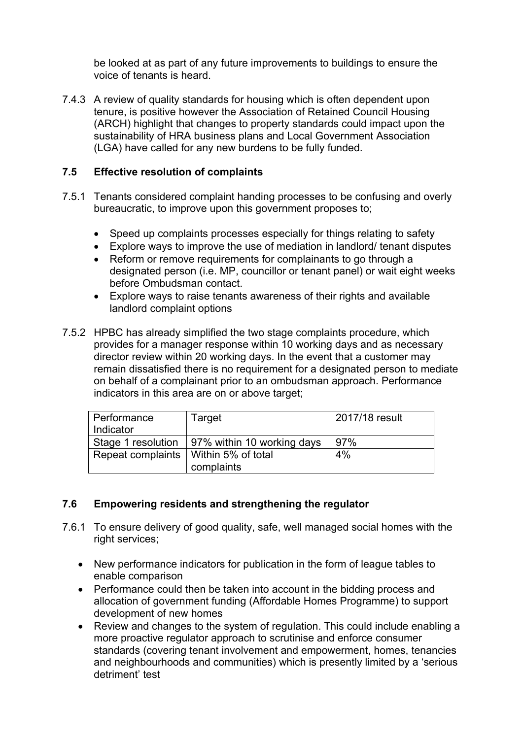be looked at as part of any future improvements to buildings to ensure the voice of tenants is heard.

7.4.3 A review of quality standards for housing which is often dependent upon tenure, is positive however the Association of Retained Council Housing (ARCH) highlight that changes to property standards could impact upon the sustainability of HRA business plans and Local Government Association (LGA) have called for any new burdens to be fully funded.

#### **7.5 Effective resolution of complaints**

- 7.5.1 Tenants considered complaint handing processes to be confusing and overly bureaucratic, to improve upon this government proposes to;
	- Speed up complaints processes especially for things relating to safety
	- Explore ways to improve the use of mediation in landlord/ tenant disputes
	- Reform or remove requirements for complainants to go through a designated person (i.e. MP, councillor or tenant panel) or wait eight weeks before Ombudsman contact.
	- Explore ways to raise tenants awareness of their rights and available landlord complaint options
- 7.5.2 HPBC has already simplified the two stage complaints procedure, which provides for a manager response within 10 working days and as necessary director review within 20 working days. In the event that a customer may remain dissatisfied there is no requirement for a designated person to mediate on behalf of a complainant prior to an ombudsman approach. Performance indicators in this area are on or above target;

| Performance                            | Target                     | 2017/18 result |
|----------------------------------------|----------------------------|----------------|
| Indicator                              |                            |                |
| Stage 1 resolution                     | 97% within 10 working days | 97%            |
| Repeat complaints   Within 5% of total |                            | 4%             |
|                                        | complaints                 |                |

### **7.6 Empowering residents and strengthening the regulator**

- 7.6.1 To ensure delivery of good quality, safe, well managed social homes with the right services;
	- New performance indicators for publication in the form of league tables to enable comparison
	- Performance could then be taken into account in the bidding process and allocation of government funding (Affordable Homes Programme) to support development of new homes
	- Review and changes to the system of regulation. This could include enabling a more proactive regulator approach to scrutinise and enforce consumer standards (covering tenant involvement and empowerment, homes, tenancies and neighbourhoods and communities) which is presently limited by a 'serious detriment' test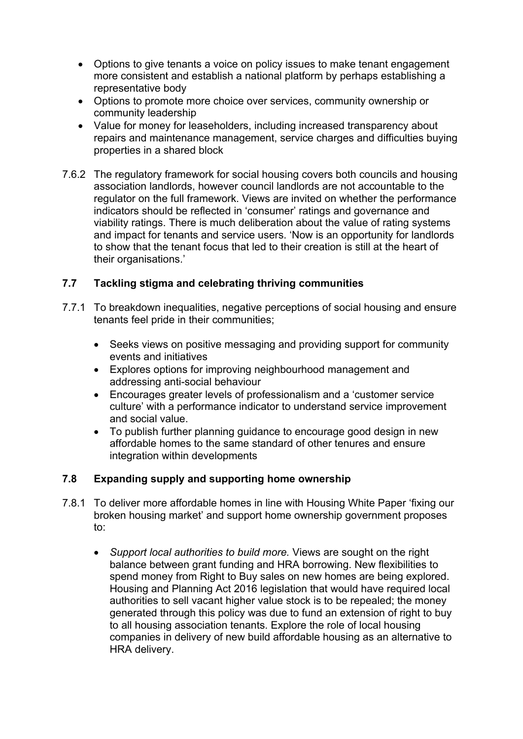- Options to give tenants a voice on policy issues to make tenant engagement more consistent and establish a national platform by perhaps establishing a representative body
- Options to promote more choice over services, community ownership or community leadership
- Value for money for leaseholders, including increased transparency about repairs and maintenance management, service charges and difficulties buying properties in a shared block
- 7.6.2 The regulatory framework for social housing covers both councils and housing association landlords, however council landlords are not accountable to the regulator on the full framework. Views are invited on whether the performance indicators should be reflected in 'consumer' ratings and governance and viability ratings. There is much deliberation about the value of rating systems and impact for tenants and service users. 'Now is an opportunity for landlords to show that the tenant focus that led to their creation is still at the heart of their organisations.'

### **7.7 Tackling stigma and celebrating thriving communities**

- 7.7.1 To breakdown inequalities, negative perceptions of social housing and ensure tenants feel pride in their communities;
	- Seeks views on positive messaging and providing support for community events and initiatives
	- Explores options for improving neighbourhood management and addressing anti-social behaviour
	- Encourages greater levels of professionalism and a 'customer service culture' with a performance indicator to understand service improvement and social value.
	- To publish further planning guidance to encourage good design in new affordable homes to the same standard of other tenures and ensure integration within developments

### **7.8 Expanding supply and supporting home ownership**

- 7.8.1 To deliver more affordable homes in line with Housing White Paper 'fixing our broken housing market' and support home ownership government proposes to:
	- *Support local authorities to build more.* Views are sought on the right balance between grant funding and HRA borrowing. New flexibilities to spend money from Right to Buy sales on new homes are being explored. Housing and Planning Act 2016 legislation that would have required local authorities to sell vacant higher value stock is to be repealed; the money generated through this policy was due to fund an extension of right to buy to all housing association tenants. Explore the role of local housing companies in delivery of new build affordable housing as an alternative to HRA delivery.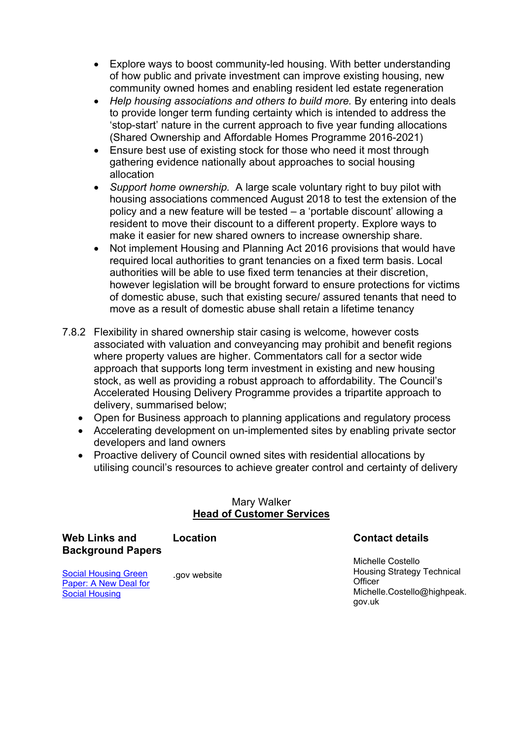- Explore ways to boost community-led housing. With better understanding of how public and private investment can improve existing housing, new community owned homes and enabling resident led estate regeneration
- *Help housing associations and others to build more.* By entering into deals to provide longer term funding certainty which is intended to address the 'stop-start' nature in the current approach to five year funding allocations (Shared Ownership and Affordable Homes Programme 2016-2021)
- Ensure best use of existing stock for those who need it most through gathering evidence nationally about approaches to social housing allocation
- *Support home ownership.* A large scale voluntary right to buy pilot with housing associations commenced August 2018 to test the extension of the policy and a new feature will be tested – a 'portable discount' allowing a resident to move their discount to a different property. Explore ways to make it easier for new shared owners to increase ownership share.
- Not implement Housing and Planning Act 2016 provisions that would have required local authorities to grant tenancies on a fixed term basis. Local authorities will be able to use fixed term tenancies at their discretion, however legislation will be brought forward to ensure protections for victims of domestic abuse, such that existing secure/ assured tenants that need to move as a result of domestic abuse shall retain a lifetime tenancy
- 7.8.2 Flexibility in shared ownership stair casing is welcome, however costs associated with valuation and conveyancing may prohibit and benefit regions where property values are higher. Commentators call for a sector wide approach that supports long term investment in existing and new housing stock, as well as providing a robust approach to affordability. The Council's Accelerated Housing Delivery Programme provides a tripartite approach to delivery, summarised below;
	- Open for Business approach to planning applications and regulatory process
	- Accelerating development on un-implemented sites by enabling private sector developers and land owners
	- Proactive delivery of Council owned sites with residential allocations by utilising council's resources to achieve greater control and certainty of delivery

#### Mary Walker **Head of Customer Services**

| <b>Web Links and</b><br><b>Background Papers</b> | Location     | <b>Contact details</b>            |
|--------------------------------------------------|--------------|-----------------------------------|
|                                                  |              | Michelle Costello                 |
| <b>Social Housing Green</b>                      | .gov website | <b>Housing Strategy Technical</b> |

[Paper:](https://www.gov.uk/government/consultations/a-new-deal-for-social-housing) A New Deal for Social [Housing](https://www.gov.uk/government/consultations/a-new-deal-for-social-housing)

Housing Strategy Technical **Officer** Michelle.Costello@highpeak. gov.uk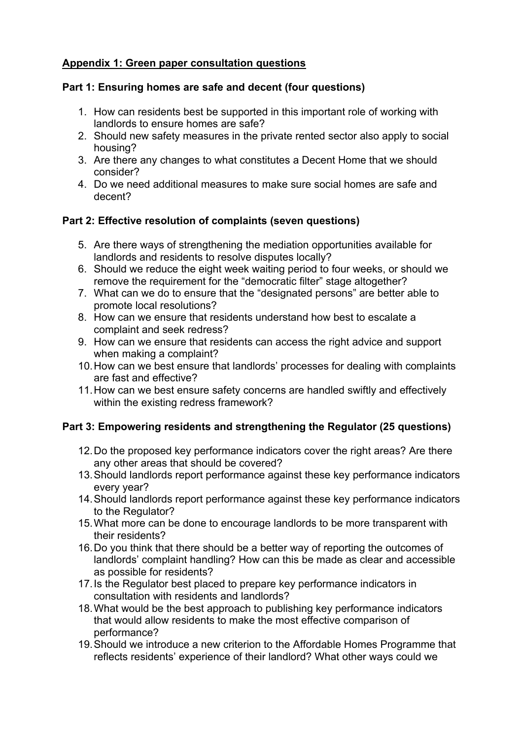## **Appendix 1: Green paper consultation questions**

## **Part 1: Ensuring homes are safe and decent (four questions)**

- 1. How can residents best be supported in this important role of working with landlords to ensure homes are safe?
- 2. Should new safety measures in the private rented sector also apply to social housing?
- 3. Are there any changes to what constitutes a Decent Home that we should consider?
- 4. Do we need additional measures to make sure social homes are safe and decent?

## **Part 2: Effective resolution of complaints (seven questions)**

- 5. Are there ways of strengthening the mediation opportunities available for landlords and residents to resolve disputes locally?
- 6. Should we reduce the eight week waiting period to four weeks, or should we remove the requirement for the "democratic filter" stage altogether?
- 7. What can we do to ensure that the "designated persons" are better able to promote local resolutions?
- 8. How can we ensure that residents understand how best to escalate a complaint and seek redress?
- 9. How can we ensure that residents can access the right advice and support when making a complaint?
- 10.How can we best ensure that landlords' processes for dealing with complaints are fast and effective?
- 11.How can we best ensure safety concerns are handled swiftly and effectively within the existing redress framework?

# **Part 3: Empowering residents and strengthening the Regulator (25 questions)**

- 12.Do the proposed key performance indicators cover the right areas? Are there any other areas that should be covered?
- 13.Should landlords report performance against these key performance indicators every year?
- 14.Should landlords report performance against these key performance indicators to the Regulator?
- 15.What more can be done to encourage landlords to be more transparent with their residents?
- 16.Do you think that there should be a better way of reporting the outcomes of landlords' complaint handling? How can this be made as clear and accessible as possible for residents?
- 17.Is the Regulator best placed to prepare key performance indicators in consultation with residents and landlords?
- 18.What would be the best approach to publishing key performance indicators that would allow residents to make the most effective comparison of performance?
- 19.Should we introduce a new criterion to the Affordable Homes Programme that reflects residents' experience of their landlord? What other ways could we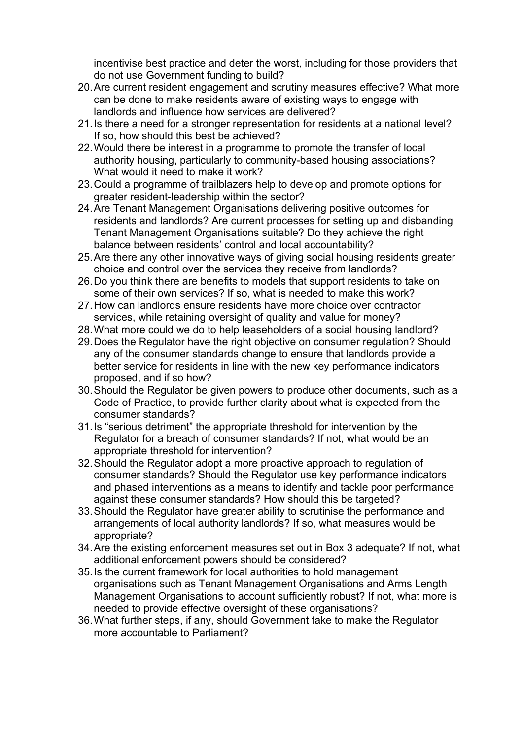incentivise best practice and deter the worst, including for those providers that do not use Government funding to build?

- 20.Are current resident engagement and scrutiny measures effective? What more can be done to make residents aware of existing ways to engage with landlords and influence how services are delivered?
- 21.Is there a need for a stronger representation for residents at a national level? If so, how should this best be achieved?
- 22.Would there be interest in a programme to promote the transfer of local authority housing, particularly to community-based housing associations? What would it need to make it work?
- 23.Could a programme of trailblazers help to develop and promote options for greater resident-leadership within the sector?
- 24.Are Tenant Management Organisations delivering positive outcomes for residents and landlords? Are current processes for setting up and disbanding Tenant Management Organisations suitable? Do they achieve the right balance between residents' control and local accountability?
- 25.Are there any other innovative ways of giving social housing residents greater choice and control over the services they receive from landlords?
- 26.Do you think there are benefits to models that support residents to take on some of their own services? If so, what is needed to make this work?
- 27.How can landlords ensure residents have more choice over contractor services, while retaining oversight of quality and value for money?
- 28.What more could we do to help leaseholders of a social housing landlord?
- 29.Does the Regulator have the right objective on consumer regulation? Should any of the consumer standards change to ensure that landlords provide a better service for residents in line with the new key performance indicators proposed, and if so how?
- 30.Should the Regulator be given powers to produce other documents, such as a Code of Practice, to provide further clarity about what is expected from the consumer standards?
- 31.Is "serious detriment" the appropriate threshold for intervention by the Regulator for a breach of consumer standards? If not, what would be an appropriate threshold for intervention?
- 32.Should the Regulator adopt a more proactive approach to regulation of consumer standards? Should the Regulator use key performance indicators and phased interventions as a means to identify and tackle poor performance against these consumer standards? How should this be targeted?
- 33.Should the Regulator have greater ability to scrutinise the performance and arrangements of local authority landlords? If so, what measures would be appropriate?
- 34.Are the existing enforcement measures set out in Box 3 adequate? If not, what additional enforcement powers should be considered?
- 35.Is the current framework for local authorities to hold management organisations such as Tenant Management Organisations and Arms Length Management Organisations to account sufficiently robust? If not, what more is needed to provide effective oversight of these organisations?
- 36.What further steps, if any, should Government take to make the Regulator more accountable to Parliament?